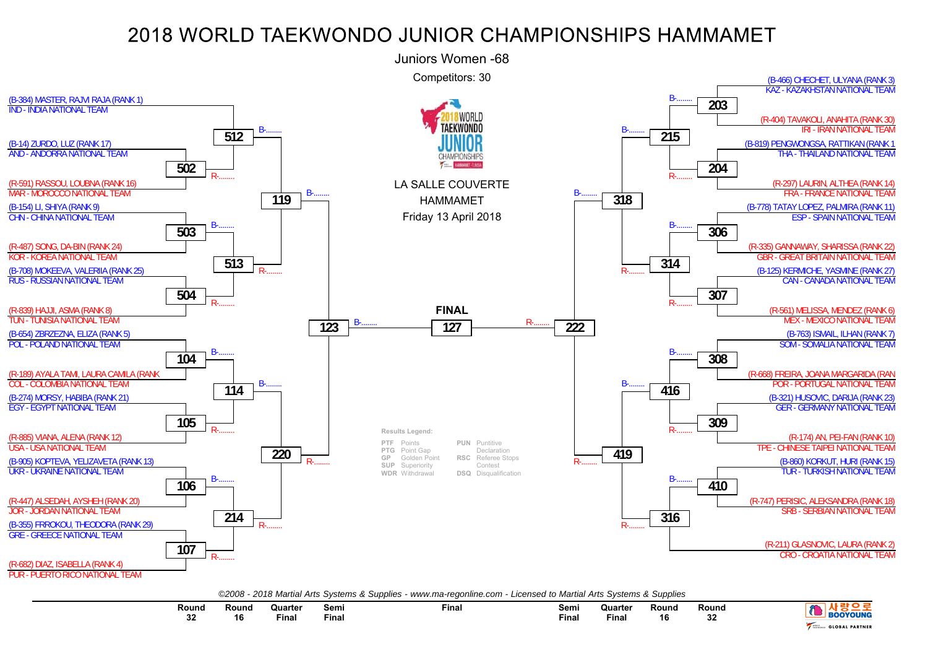

*©2008 - 2018 Martial Arts Systems & Supplies - www.ma-regonline.com - Licensed to Martial Arts Systems & Supplies*

| Round    | Rounc | Quarter | Semi  | Fina. | Semi  | Quarter | Round | Round      |                       |
|----------|-------|---------|-------|-------|-------|---------|-------|------------|-----------------------|
| nn.<br>◡ | ם ו   | Final   | Fina. |       | Final | Fina.   | 16    | nn.<br>-JZ | YOUN                  |
|          |       |         |       |       |       |         |       |            | <b>GLOBAL PARTNER</b> |

е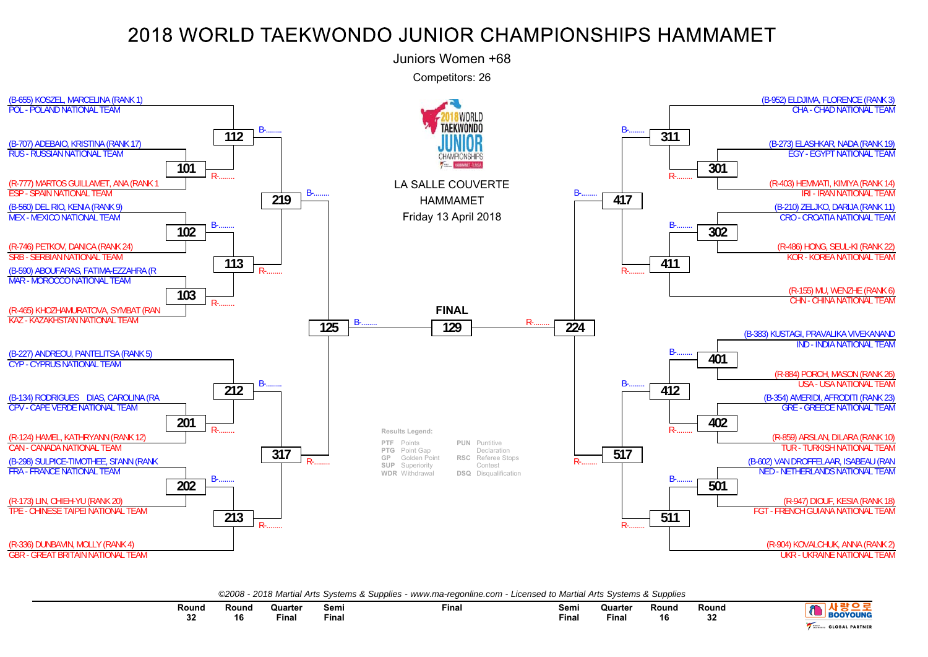

*©2008 - 2018 Martial Arts Systems & Supplies - www.ma-regonline.com - Licensed to Martial Arts Systems & Supplies*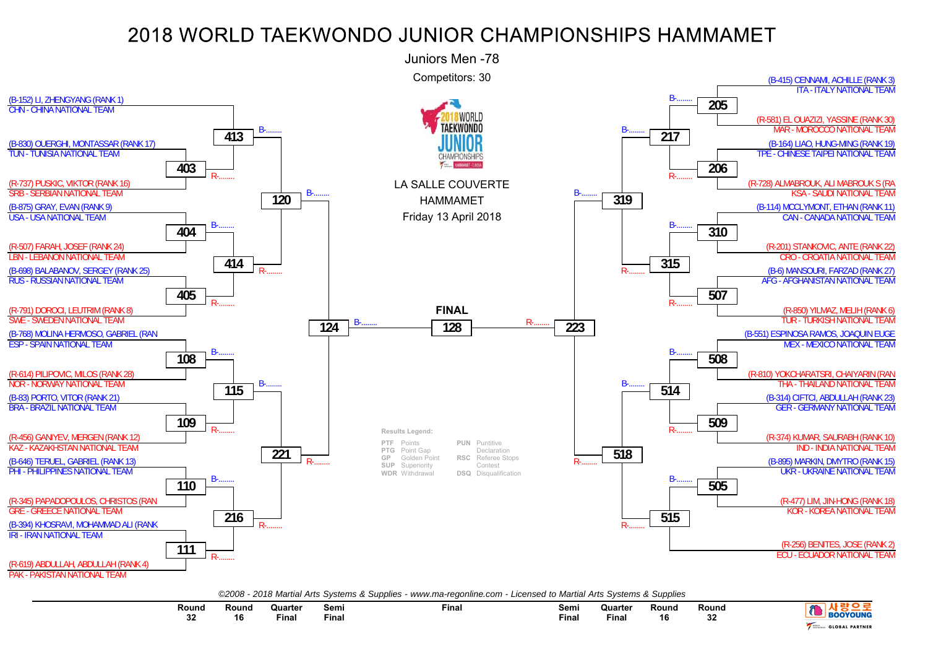

| ©2008 - 2018 Martial Arts Systems & Supplies - www.ma-regonline.com - Licensed to Martial Arts Systems & Supplies |  |  |  |
|-------------------------------------------------------------------------------------------------------------------|--|--|--|
|                                                                                                                   |  |  |  |

| Round | <b>Round</b> | Quarter<br>the contract of the contract of the contract of | Semi  | Fina. | Semi  | Quarter<br>the contract of the contract of the contract of | Round | Round     |                            |
|-------|--------------|------------------------------------------------------------|-------|-------|-------|------------------------------------------------------------|-------|-----------|----------------------------|
| ^^    | 16           | Final                                                      | Fina. |       | Final | Finan                                                      | 16    | nn.<br>ےد | NUMB                       |
| υz    |              |                                                            |       |       |       |                                                            |       |           | <b>L PARTNER</b><br>0.0001 |